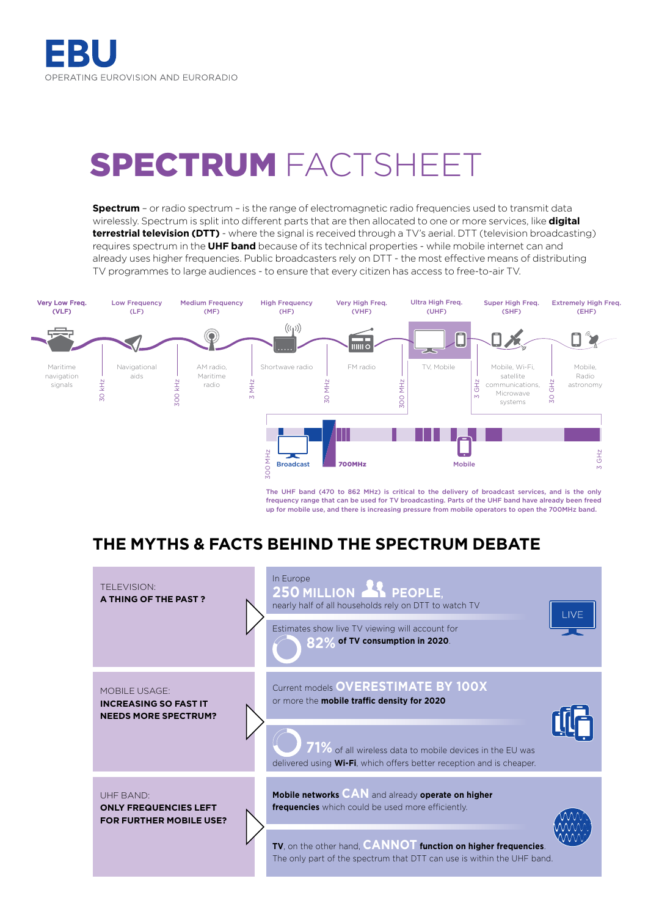# SPECTRUM FACTSHEET

**Spectrum** – or radio spectrum – is the range of electromagnetic radio frequencies used to transmit data wirelessly. Spectrum is split into different parts that are then allocated to one or more services, like **digital terrestrial television (DTT)** - where the signal is received through a TV's aerial. DTT (television broadcasting) requires spectrum in the **UHF band** because of its technical properties - while mobile internet can and already uses higher frequencies. Public broadcasters rely on DTT - the most effective means of distributing TV programmes to large audiences - to ensure that every citizen has access to free-to-air TV.



The UHF band (470 to 862 MHz) is critical to the delivery of broadcast services, and is the only frequency range that can be used for TV broadcasting. Parts of the UHF band have already been freed up for mobile use, and there is increasing pressure from mobile operators to open the 700MHz band.

## **THE MYTHS & FACTS BEHIND THE SPECTRUM DEBATE**